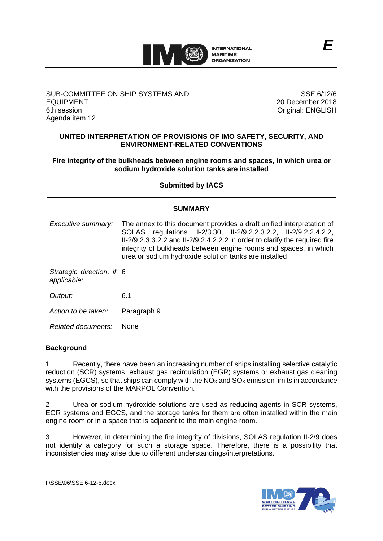

## SUB-COMMITTEE ON SHIP SYSTEMS AND EQUIPMENT 6th session Agenda item 12

SSE 6/12/6 20 December 2018 Original: ENGLISH

# **UNITED INTERPRETATION OF PROVISIONS OF IMO SAFETY, SECURITY, AND ENVIRONMENT-RELATED CONVENTIONS**

## **Fire integrity of the bulkheads between engine rooms and spaces, in which urea or sodium hydroxide solution tanks are installed**

# **Submitted by IACS**

| <b>SUMMARY</b>                           |                                                                                                                                                                                                                                                                                                                                                       |
|------------------------------------------|-------------------------------------------------------------------------------------------------------------------------------------------------------------------------------------------------------------------------------------------------------------------------------------------------------------------------------------------------------|
| Executive summary:                       | The annex to this document provides a draft unified interpretation of<br>SOLAS regulations II-2/3.30, II-2/9.2.2.3.2.2, II-2/9.2.2.4.2.2,<br>II-2/9.2.3.3.2.2 and II-2/9.2.4.2.2.2 in order to clarify the required fire<br>integrity of bulkheads between engine rooms and spaces, in which<br>urea or sodium hydroxide solution tanks are installed |
| Strategic direction, if 6<br>applicable: |                                                                                                                                                                                                                                                                                                                                                       |
| Output:                                  | 6.1                                                                                                                                                                                                                                                                                                                                                   |
| Action to be taken:                      | Paragraph 9                                                                                                                                                                                                                                                                                                                                           |
| Related documents:                       | <b>None</b>                                                                                                                                                                                                                                                                                                                                           |

# **Background**

1 Recently, there have been an increasing number of ships installing selective catalytic reduction (SCR) systems, exhaust gas recirculation (EGR) systems or exhaust gas cleaning systems (EGCS), so that ships can comply with the  $NO<sub>X</sub>$  and  $SO<sub>X</sub>$  emission limits in accordance with the provisions of the MARPOL Convention.

2 Urea or sodium hydroxide solutions are used as reducing agents in SCR systems, EGR systems and EGCS, and the storage tanks for them are often installed within the main engine room or in a space that is adjacent to the main engine room.

3 However, in determining the fire integrity of divisions, SOLAS regulation II-2/9 does not identify a category for such a storage space. Therefore, there is a possibility that inconsistencies may arise due to different understandings/interpretations.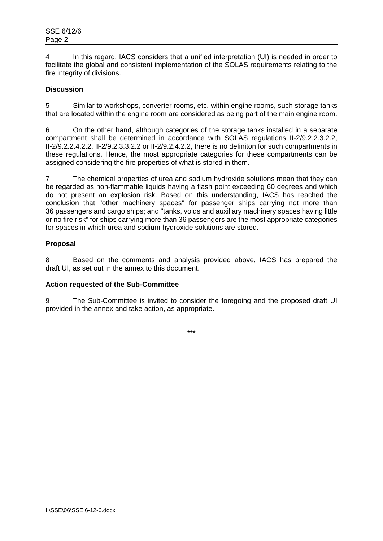4 In this regard, IACS considers that a unified interpretation (UI) is needed in order to facilitate the global and consistent implementation of the SOLAS requirements relating to the fire integrity of divisions.

# **Discussion**

5 Similar to workshops, converter rooms, etc. within engine rooms, such storage tanks that are located within the engine room are considered as being part of the main engine room.

6 On the other hand, although categories of the storage tanks installed in a separate compartment shall be determined in accordance with SOLAS regulations II-2/9.2.2.3.2.2, II-2/9.2.2.4.2.2, II-2/9.2.3.3.2.2 or II-2/9.2.4.2.2, there is no definiton for such compartments in these regulations. Hence, the most appropriate categories for these compartments can be assigned considering the fire properties of what is stored in them.

7 The chemical properties of urea and sodium hydroxide solutions mean that they can be regarded as non-flammable liquids having a flash point exceeding 60 degrees and which do not present an explosion risk. Based on this understanding, IACS has reached the conclusion that "other machinery spaces" for passenger ships carrying not more than 36 passengers and cargo ships; and "tanks, voids and auxiliary machinery spaces having little or no fire risk" for ships carrying more than 36 passengers are the most appropriate categories for spaces in which urea and sodium hydroxide solutions are stored.

# **Proposal**

8 Based on the comments and analysis provided above, IACS has prepared the draft UI, as set out in the annex to this document.

# **Action requested of the Sub-Committee**

9 The Sub-Committee is invited to consider the foregoing and the proposed draft UI provided in the annex and take action, as appropriate.

\*\*\*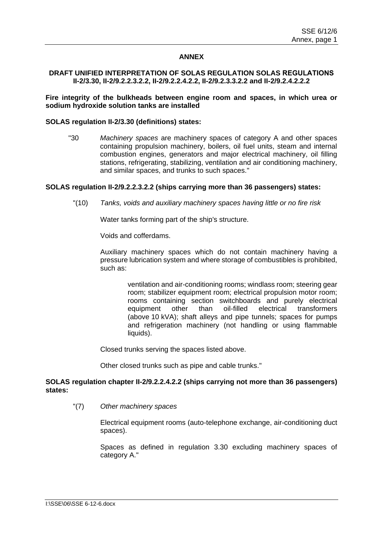## **ANNEX**

#### **DRAFT UNIFIED INTERPRETATION OF SOLAS REGULATION SOLAS REGULATIONS II-2/3.30, II-2/9.2.2.3.2.2, II-2/9.2.2.4.2.2, II-2/9.2.3.3.2.2 and II-2/9.2.4.2.2.2**

## **Fire integrity of the bulkheads between engine room and spaces, in which urea or sodium hydroxide solution tanks are installed**

#### **SOLAS regulation II-2/3.30 (definitions) states:**

"30 *Machinery spaces* are machinery spaces of category A and other spaces containing propulsion machinery, boilers, oil fuel units, steam and internal combustion engines, generators and major electrical machinery, oil filling stations, refrigerating, stabilizing, ventilation and air conditioning machinery, and similar spaces, and trunks to such spaces."

## **SOLAS regulation II-2/9.2.2.3.2.2 (ships carrying more than 36 passengers) states:**

"(10) *Tanks, voids and auxiliary machinery spaces having little or no fire risk*

Water tanks forming part of the ship's structure.

Voids and cofferdams.

Auxiliary machinery spaces which do not contain machinery having a pressure lubrication system and where storage of combustibles is prohibited, such as:

> ventilation and air-conditioning rooms; windlass room; steering gear room; stabilizer equipment room; electrical propulsion motor room; rooms containing section switchboards and purely electrical equipment other than oil-filled electrical transformers (above 10 kVA); shaft alleys and pipe tunnels; spaces for pumps and refrigeration machinery (not handling or using flammable liquids).

Closed trunks serving the spaces listed above.

Other closed trunks such as pipe and cable trunks."

## **SOLAS regulation chapter II-2/9.2.2.4.2.2 (ships carrying not more than 36 passengers) states:**

"(7) *Other machinery spaces* 

Electrical equipment rooms (auto-telephone exchange, air-conditioning duct spaces).

Spaces as defined in regulation 3.30 excluding machinery spaces of category A."